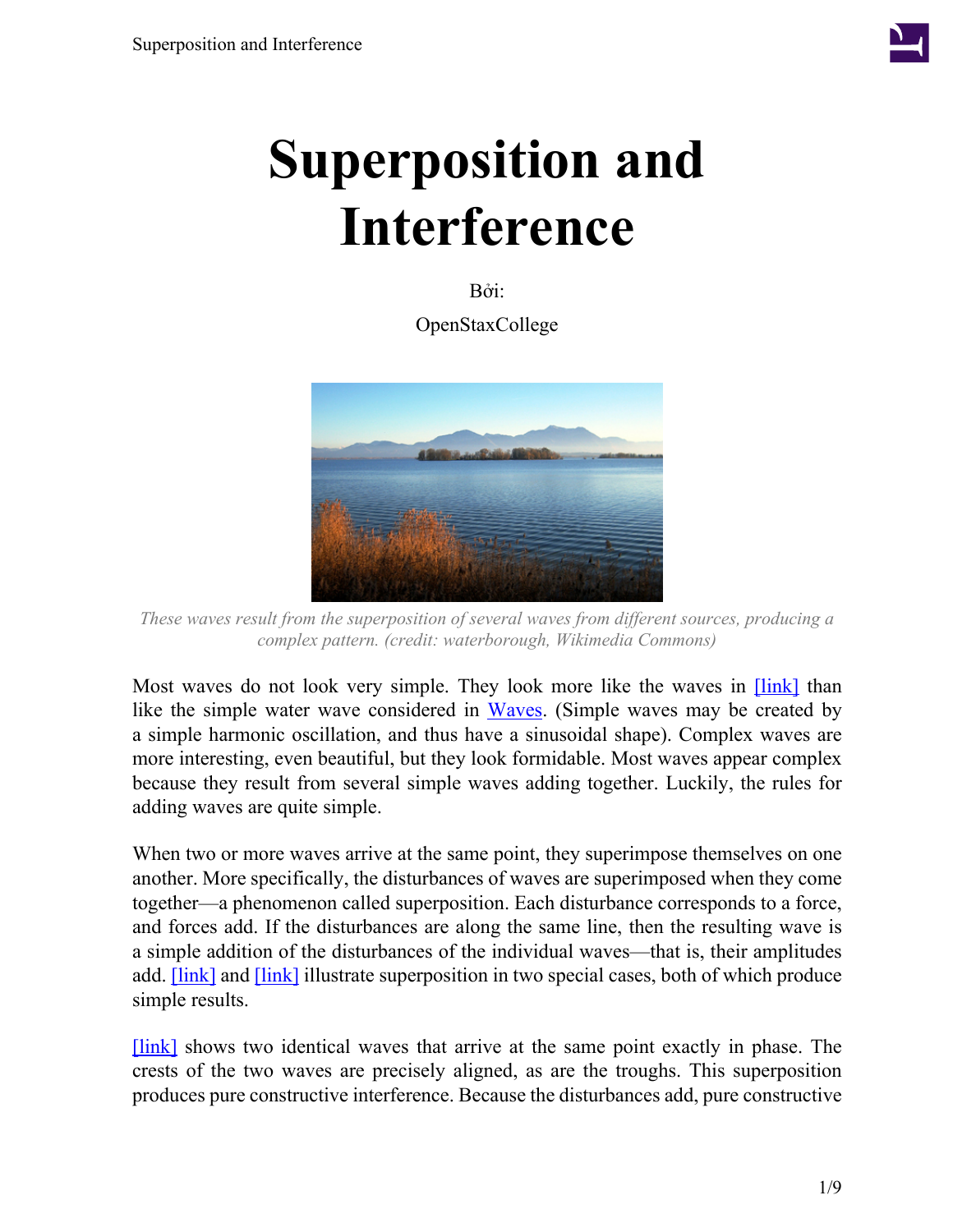

Bởi:

OpenStaxCollege

<span id="page-0-0"></span>

*These waves result from the superposition of several waves from different sources, producing a complex pattern. (credit: waterborough, Wikimedia Commons)*

Most waves do not look very simple. They look more like the waves in **[\[link\]](#page-0-0)** than like the simple water wave considered in [Waves.](/m42248) (Simple waves may be created by a simple harmonic oscillation, and thus have a sinusoidal shape). Complex waves are more interesting, even beautiful, but they look formidable. Most waves appear complex because they result from several simple waves adding together. Luckily, the rules for adding waves are quite simple.

When two or more waves arrive at the same point, they superimpose themselves on one another. More specifically, the disturbances of waves are superimposed when they come together—a phenomenon called superposition. Each disturbance corresponds to a force, and forces add. If the disturbances are along the same line, then the resulting wave is a simple addition of the disturbances of the individual waves—that is, their amplitudes add. [\[link\]](#page-1-1) and [link] illustrate superposition in two special cases, both of which produce simple results.

[\[link\]](#page-1-0) shows two identical waves that arrive at the same point exactly in phase. The crests of the two waves are precisely aligned, as are the troughs. This superposition produces pure constructive interference. Because the disturbances add, pure constructive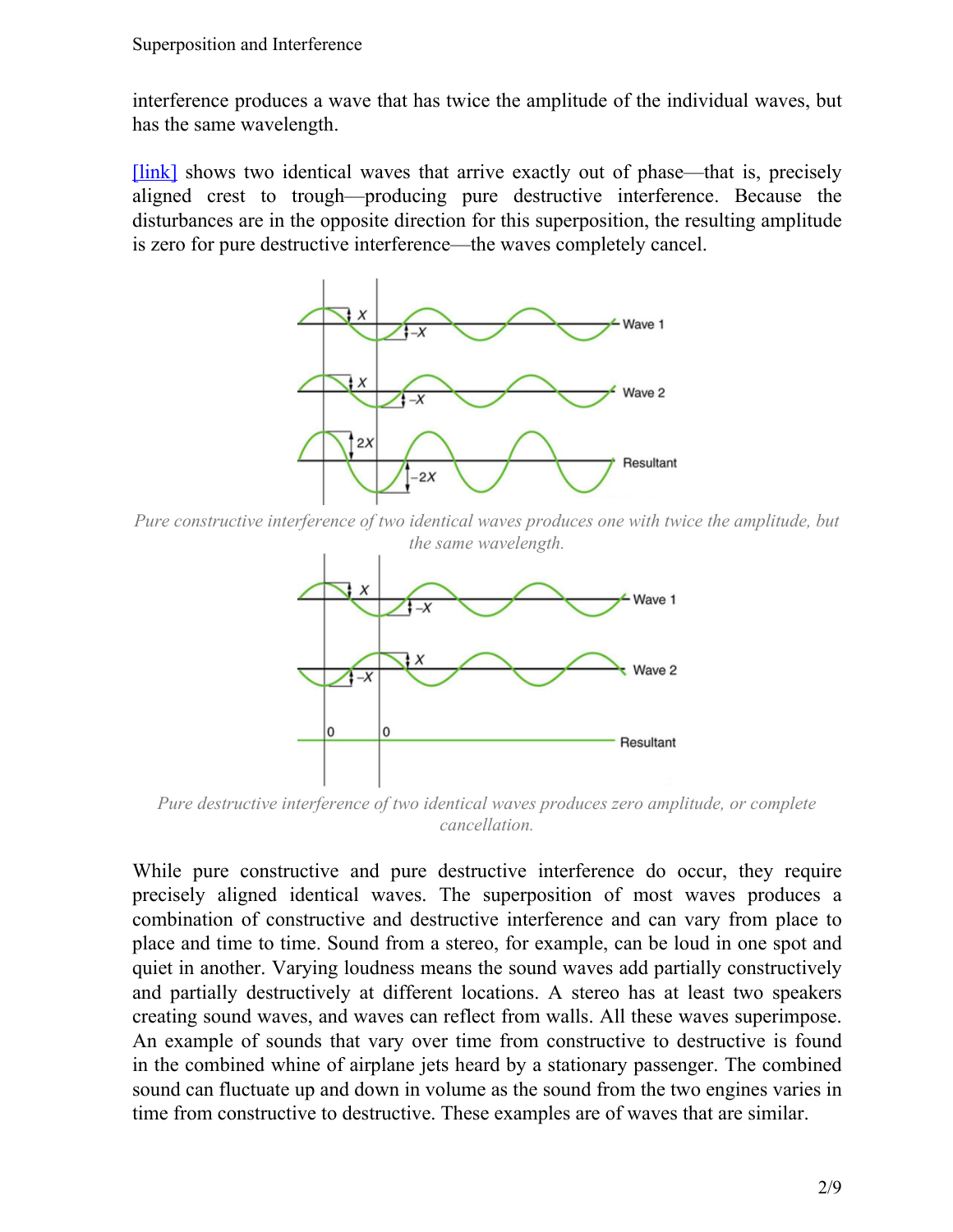interference produces a wave that has twice the amplitude of the individual waves, but has the same wavelength.

<span id="page-1-0"></span>[\[link\]](#page-1-1) shows two identical waves that arrive exactly out of phase—that is, precisely aligned crest to trough—producing pure destructive interference. Because the disturbances are in the opposite direction for this superposition, the resulting amplitude is zero for pure destructive interference—the waves completely cancel.



<span id="page-1-1"></span>*Pure constructive interference of two identical waves produces one with twice the amplitude, but the same wavelength.*



*Pure destructive interference of two identical waves produces zero amplitude, or complete cancellation.*

While pure constructive and pure destructive interference do occur, they require precisely aligned identical waves. The superposition of most waves produces a combination of constructive and destructive interference and can vary from place to place and time to time. Sound from a stereo, for example, can be loud in one spot and quiet in another. Varying loudness means the sound waves add partially constructively and partially destructively at different locations. A stereo has at least two speakers creating sound waves, and waves can reflect from walls. All these waves superimpose. An example of sounds that vary over time from constructive to destructive is found in the combined whine of airplane jets heard by a stationary passenger. The combined sound can fluctuate up and down in volume as the sound from the two engines varies in time from constructive to destructive. These examples are of waves that are similar.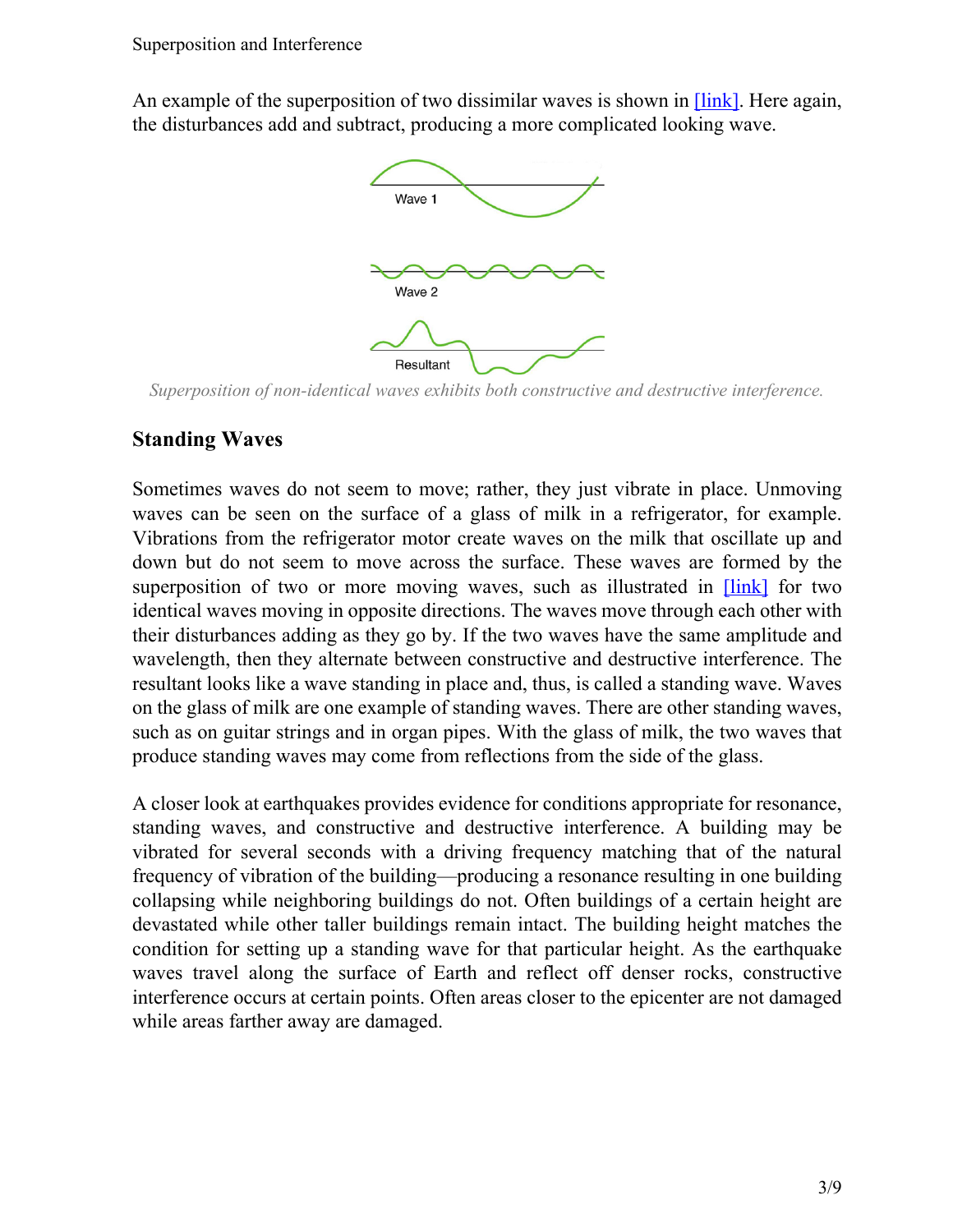<span id="page-2-0"></span>An example of the superposition of two dissimilar waves is shown in **[link]**. Here again, the disturbances add and subtract, producing a more complicated looking wave.



*Superposition of non-identical waves exhibits both constructive and destructive interference.*

# **Standing Waves**

Sometimes waves do not seem to move; rather, they just vibrate in place. Unmoving waves can be seen on the surface of a glass of milk in a refrigerator, for example. Vibrations from the refrigerator motor create waves on the milk that oscillate up and down but do not seem to move across the surface. These waves are formed by the superposition of two or more moving waves, such as illustrated in [\[link\]](#page-3-0) for two identical waves moving in opposite directions. The waves move through each other with their disturbances adding as they go by. If the two waves have the same amplitude and wavelength, then they alternate between constructive and destructive interference. The resultant looks like a wave standing in place and, thus, is called a standing wave. Waves on the glass of milk are one example of standing waves. There are other standing waves, such as on guitar strings and in organ pipes. With the glass of milk, the two waves that produce standing waves may come from reflections from the side of the glass.

A closer look at earthquakes provides evidence for conditions appropriate for resonance, standing waves, and constructive and destructive interference. A building may be vibrated for several seconds with a driving frequency matching that of the natural frequency of vibration of the building—producing a resonance resulting in one building collapsing while neighboring buildings do not. Often buildings of a certain height are devastated while other taller buildings remain intact. The building height matches the condition for setting up a standing wave for that particular height. As the earthquake waves travel along the surface of Earth and reflect off denser rocks, constructive interference occurs at certain points. Often areas closer to the epicenter are not damaged while areas farther away are damaged.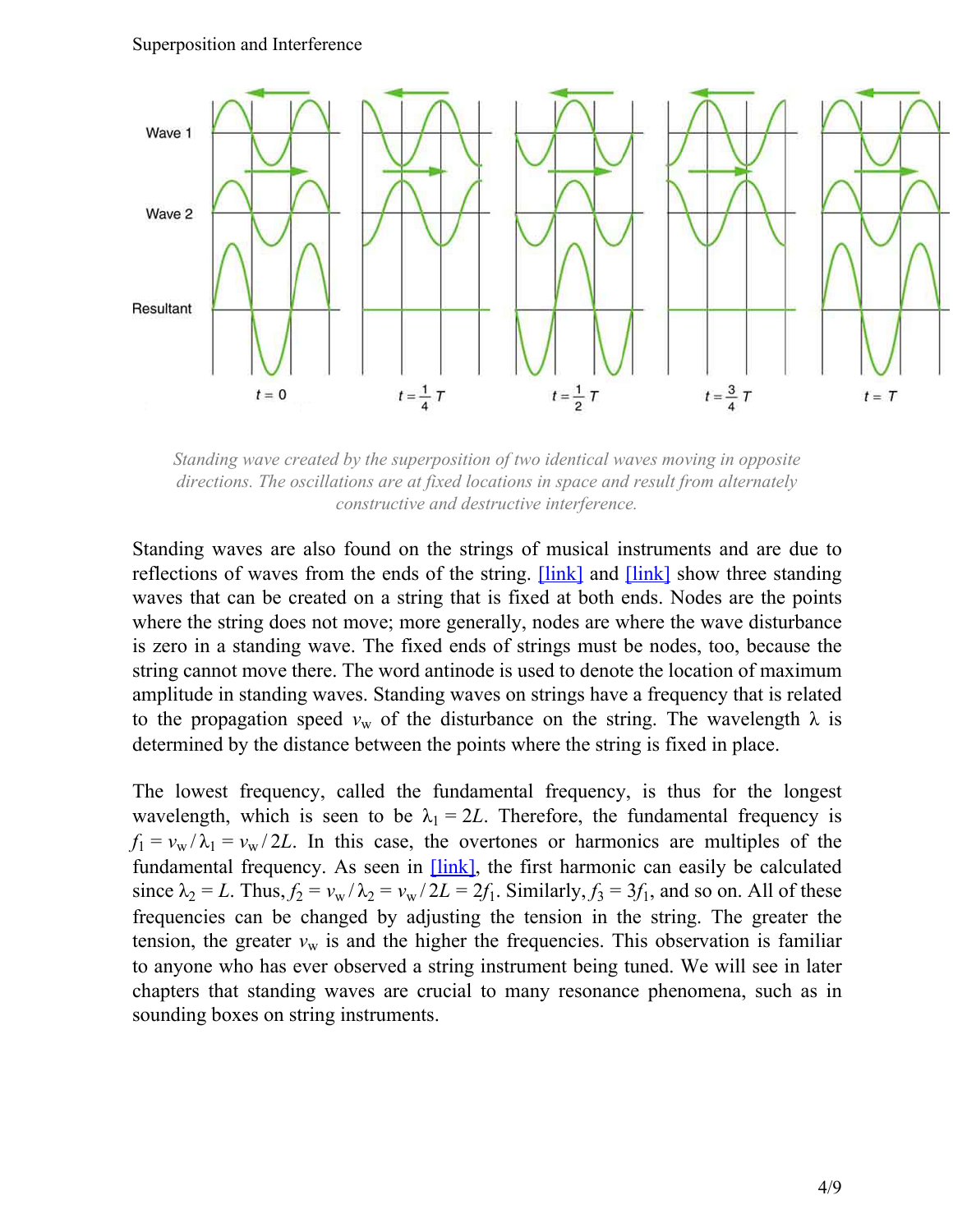<span id="page-3-0"></span>

*Standing wave created by the superposition of two identical waves moving in opposite directions. The oscillations are at fixed locations in space and result from alternately constructive and destructive interference.*

Standing waves are also found on the strings of musical instruments and are due to reflections of waves from the ends of the string. [\[link\]](#page-4-0) and [\[link\]](#page-4-1) show three standing waves that can be created on a string that is fixed at both ends. Nodes are the points where the string does not move; more generally, nodes are where the wave disturbance is zero in a standing wave. The fixed ends of strings must be nodes, too, because the string cannot move there. The word antinode is used to denote the location of maximum amplitude in standing waves. Standing waves on strings have a frequency that is related to the propagation speed  $v_w$  of the disturbance on the string. The wavelength  $\lambda$  is determined by the distance between the points where the string is fixed in place.

The lowest frequency, called the fundamental frequency, is thus for the longest wavelength, which is seen to be  $\lambda_1 = 2L$ . Therefore, the fundamental frequency is  $f_1 = v_w / \lambda_1 = v_w / 2L$ . In this case, the overtones or harmonics are multiples of the fundamental frequency. As seen in  $[\text{link}]$ , the first harmonic can easily be calculated since  $\lambda_2 = L$ . Thus,  $f_2 = v_w / \lambda_2 = v_w / 2L = 2f_1$ . Similarly,  $f_3 = 3f_1$ , and so on. All of these frequencies can be changed by adjusting the tension in the string. The greater the tension, the greater  $v_w$  is and the higher the frequencies. This observation is familiar to anyone who has ever observed a string instrument being tuned. We will see in later chapters that standing waves are crucial to many resonance phenomena, such as in sounding boxes on string instruments.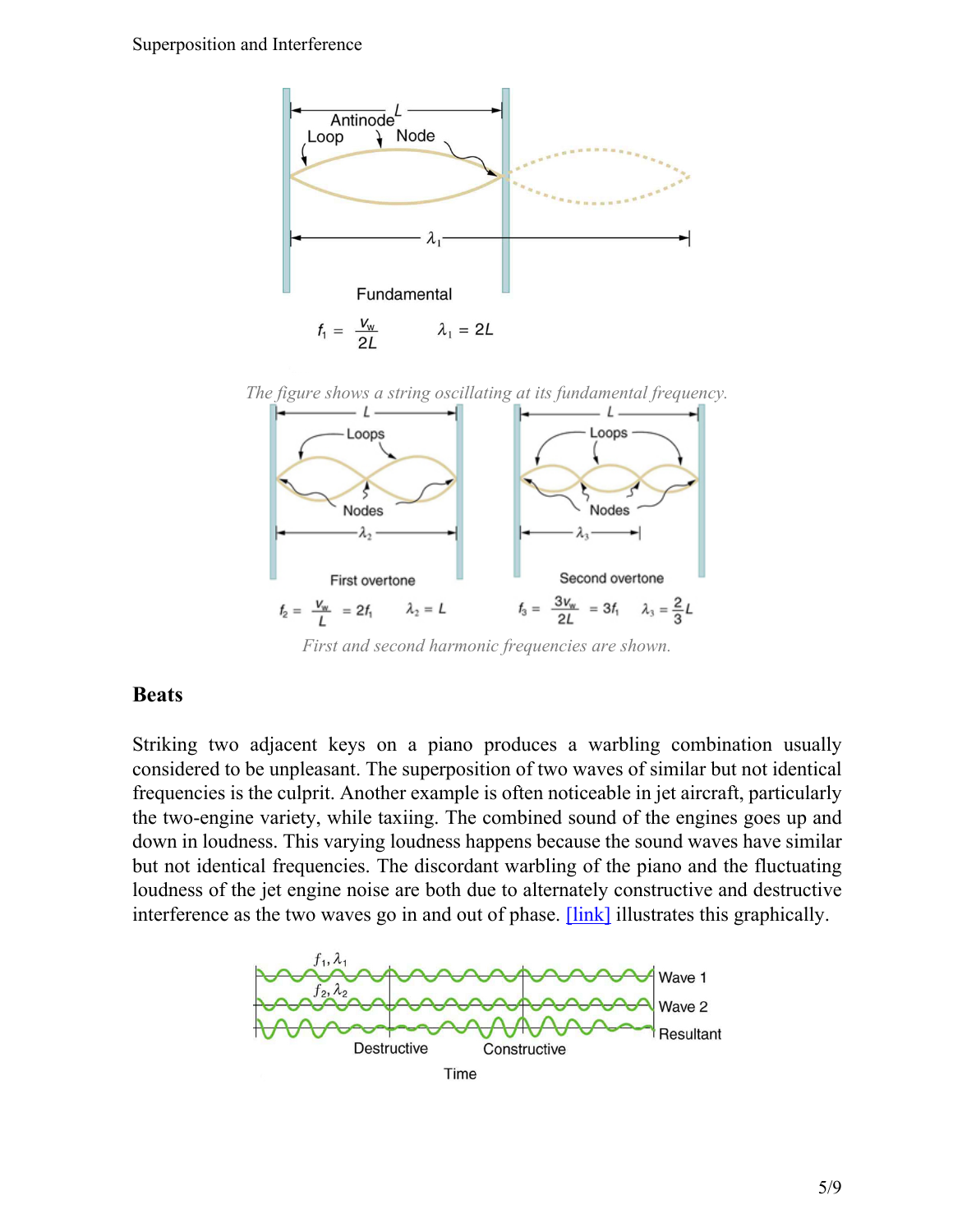<span id="page-4-0"></span>

<span id="page-4-1"></span>*The figure shows a string oscillating at its fundamental frequency.*



*First and second harmonic frequencies are shown.*

#### **Beats**

Striking two adjacent keys on a piano produces a warbling combination usually considered to be unpleasant. The superposition of two waves of similar but not identical frequencies is the culprit. Another example is often noticeable in jet aircraft, particularly the two-engine variety, while taxiing. The combined sound of the engines goes up and down in loudness. This varying loudness happens because the sound waves have similar but not identical frequencies. The discordant warbling of the piano and the fluctuating loudness of the jet engine noise are both due to alternately constructive and destructive interference as the two waves go in and out of phase. **[\[link\]](#page-4-2)** illustrates this graphically.

<span id="page-4-2"></span>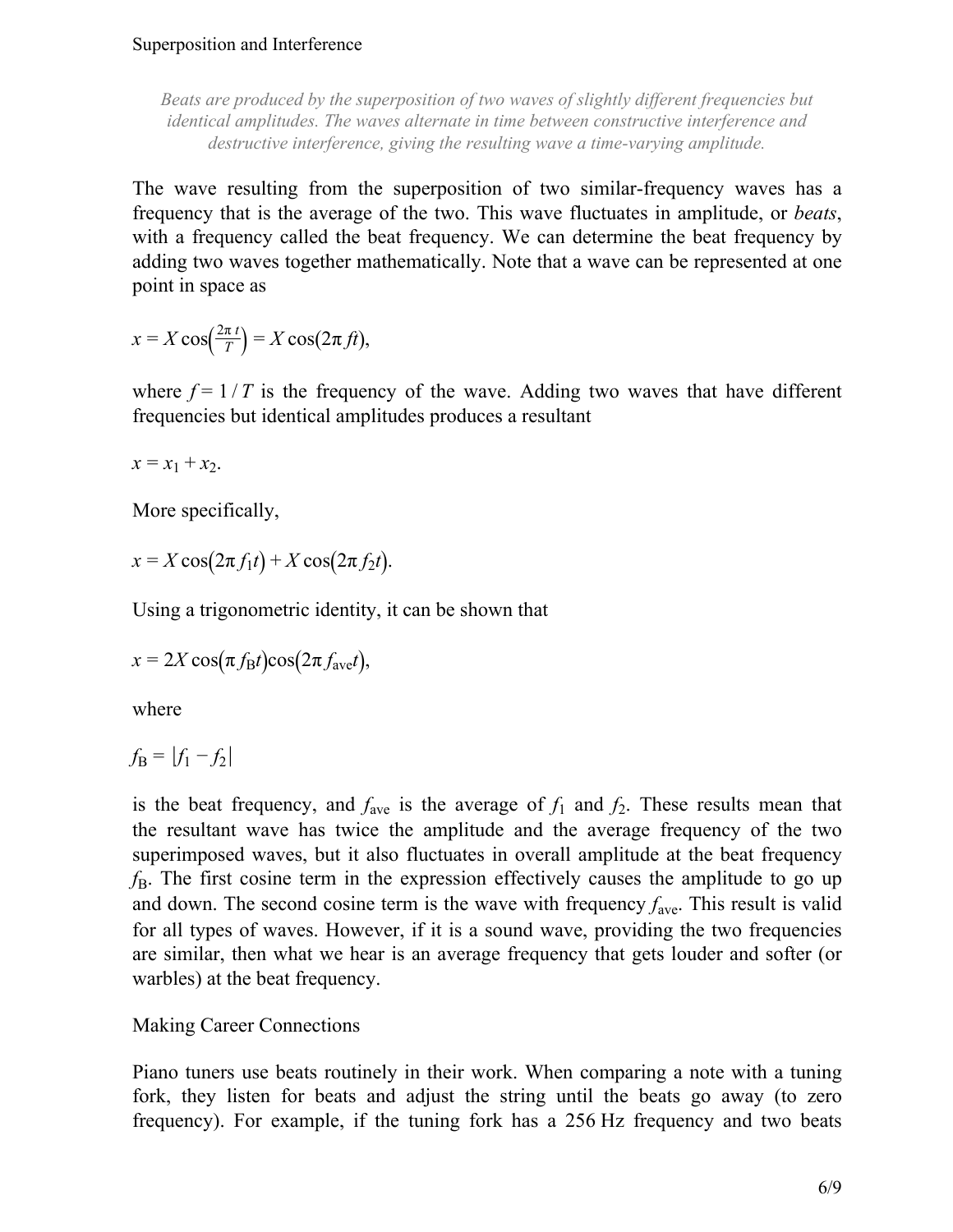*Beats are produced by the superposition of two waves of slightly different frequencies but identical amplitudes. The waves alternate in time between constructive interference and destructive interference, giving the resulting wave a time-varying amplitude.*

The wave resulting from the superposition of two similar-frequency waves has a frequency that is the average of the two. This wave fluctuates in amplitude, or *beats*, with a frequency called the beat frequency. We can determine the beat frequency by adding two waves together mathematically. Note that a wave can be represented at one point in space as

$$
x = X \cos\left(\frac{2\pi t}{T}\right) = X \cos(2\pi ft),
$$

where  $f = 1/T$  is the frequency of the wave. Adding two waves that have different frequencies but identical amplitudes produces a resultant

$$
x = x_1 + x_2.
$$

More specifically,

$$
x = X\cos(2\pi f_1 t) + X\cos(2\pi f_2 t).
$$

Using a trigonometric identity, it can be shown that

$$
x = 2X\cos(\pi f_{\rm B}t)\cos(2\pi f_{\rm ave}t),
$$

where

$$
f_{\mathbf{B}} = |f_1 - f_2|
$$

is the beat frequency, and  $f_{\text{ave}}$  is the average of  $f_1$  and  $f_2$ . These results mean that the resultant wave has twice the amplitude and the average frequency of the two superimposed waves, but it also fluctuates in overall amplitude at the beat frequency *f*B. The first cosine term in the expression effectively causes the amplitude to go up and down. The second cosine term is the wave with frequency  $f_{\text{ave}}$ . This result is valid for all types of waves. However, if it is a sound wave, providing the two frequencies are similar, then what we hear is an average frequency that gets louder and softer (or warbles) at the beat frequency.

# Making Career Connections

Piano tuners use beats routinely in their work. When comparing a note with a tuning fork, they listen for beats and adjust the string until the beats go away (to zero frequency). For example, if the tuning fork has a 256 Hz frequency and two beats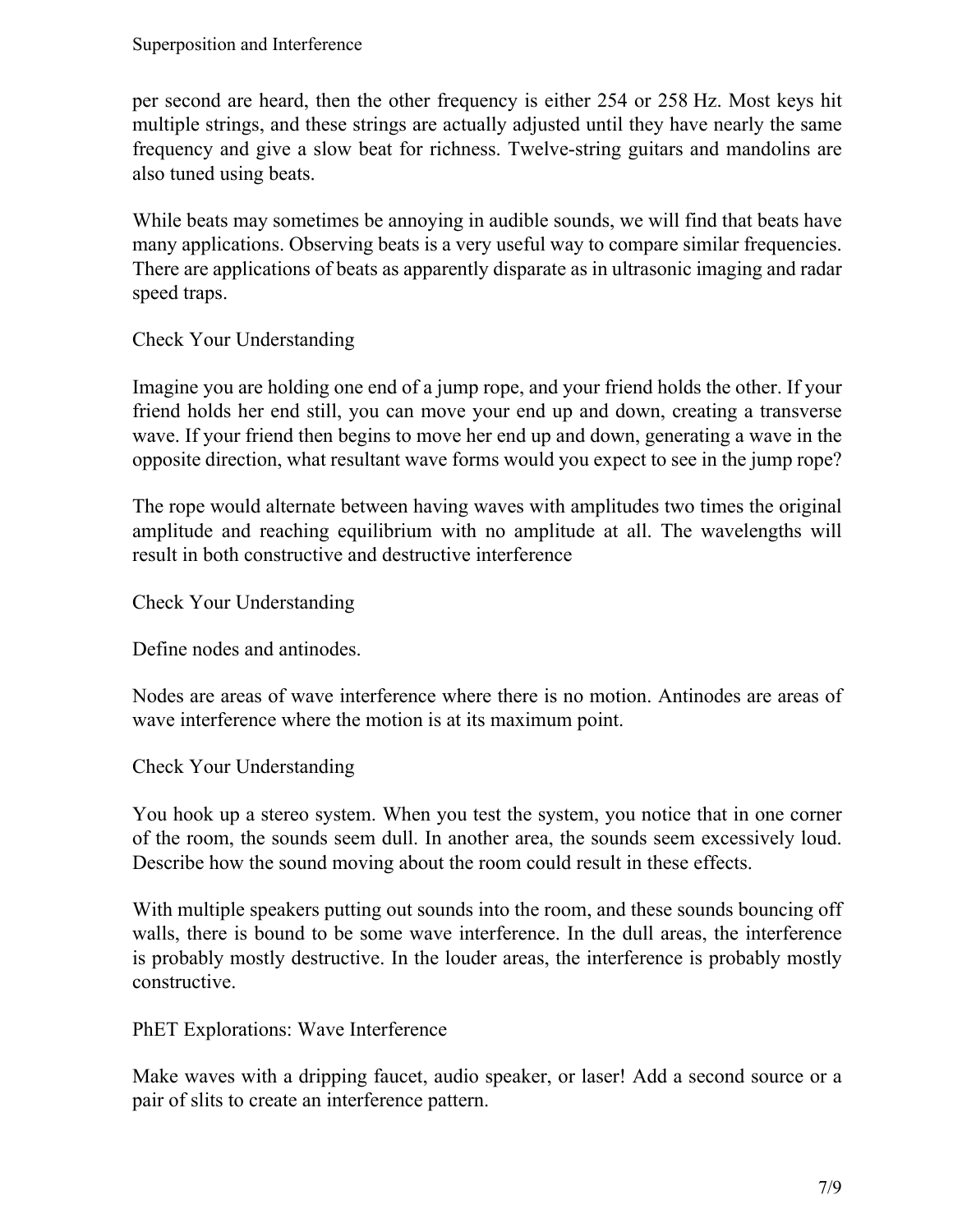per second are heard, then the other frequency is either 254 or 258 Hz. Most keys hit multiple strings, and these strings are actually adjusted until they have nearly the same frequency and give a slow beat for richness. Twelve-string guitars and mandolins are also tuned using beats.

While beats may sometimes be annoying in audible sounds, we will find that beats have many applications. Observing beats is a very useful way to compare similar frequencies. There are applications of beats as apparently disparate as in ultrasonic imaging and radar speed traps.

Check Your Understanding

Imagine you are holding one end of a jump rope, and your friend holds the other. If your friend holds her end still, you can move your end up and down, creating a transverse wave. If your friend then begins to move her end up and down, generating a wave in the opposite direction, what resultant wave forms would you expect to see in the jump rope?

The rope would alternate between having waves with amplitudes two times the original amplitude and reaching equilibrium with no amplitude at all. The wavelengths will result in both constructive and destructive interference

Check Your Understanding

Define nodes and antinodes.

Nodes are areas of wave interference where there is no motion. Antinodes are areas of wave interference where the motion is at its maximum point.

Check Your Understanding

You hook up a stereo system. When you test the system, you notice that in one corner of the room, the sounds seem dull. In another area, the sounds seem excessively loud. Describe how the sound moving about the room could result in these effects.

With multiple speakers putting out sounds into the room, and these sounds bouncing off walls, there is bound to be some wave interference. In the dull areas, the interference is probably mostly destructive. In the louder areas, the interference is probably mostly constructive.

PhET Explorations: Wave Interference

Make waves with a dripping faucet, audio speaker, or laser! Add a second source or a pair of slits to create an interference pattern.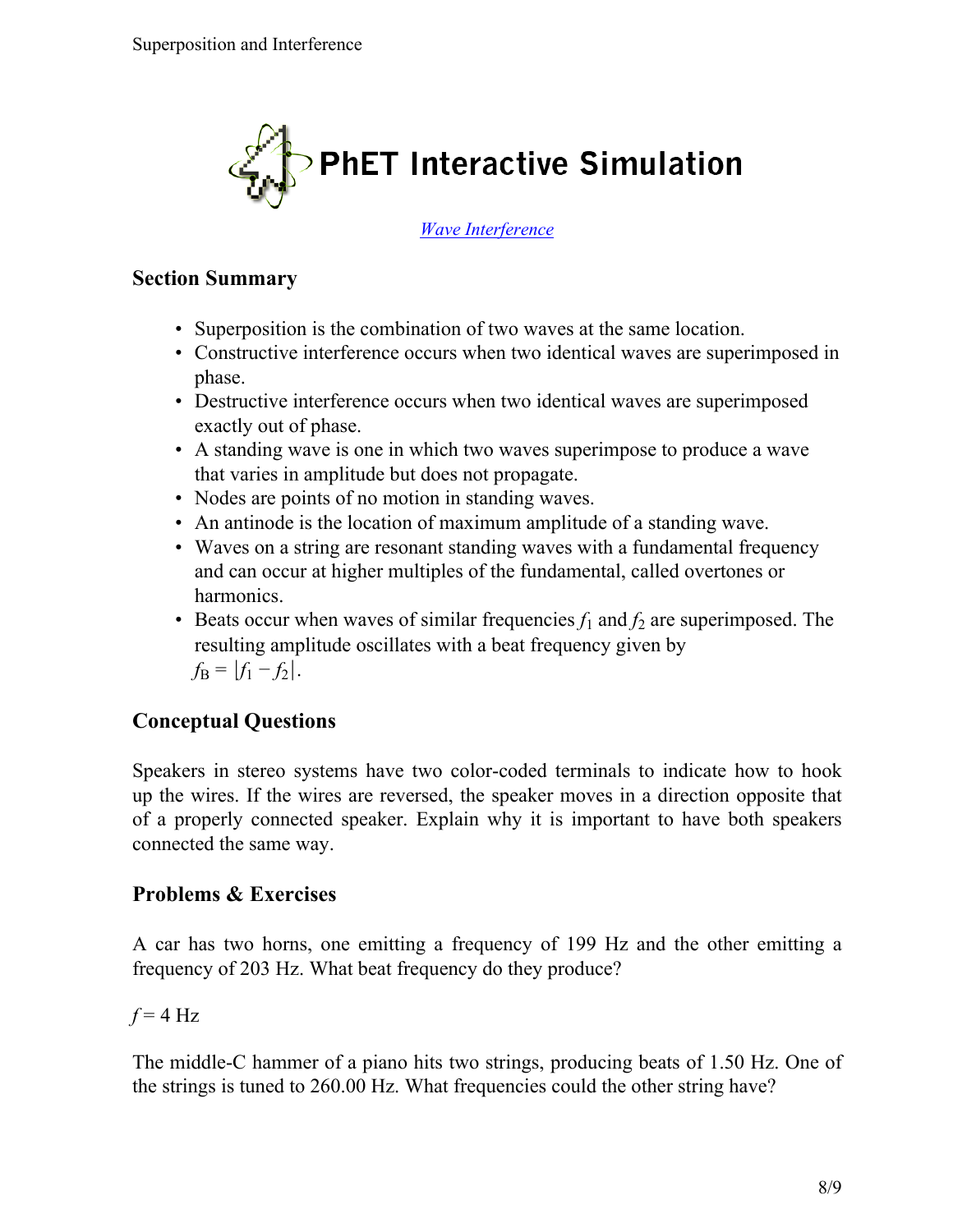

*[Wave Interference](/home/voer/vp/vp.transformer/src/vpt.transformer/vpt/transformer/transforms/20140115-101928-71067678-1/wave-interference_en.jar)*

# **Section Summary**

- Superposition is the combination of two waves at the same location.
- Constructive interference occurs when two identical waves are superimposed in phase.
- Destructive interference occurs when two identical waves are superimposed exactly out of phase.
- A standing wave is one in which two waves superimpose to produce a wave that varies in amplitude but does not propagate.
- Nodes are points of no motion in standing waves.
- An antinode is the location of maximum amplitude of a standing wave.
- Waves on a string are resonant standing waves with a fundamental frequency and can occur at higher multiples of the fundamental, called overtones or harmonics.
- Beats occur when waves of similar frequencies  $f_1$  and  $f_2$  are superimposed. The resulting amplitude oscillates with a beat frequency given by  $f_{\rm B} = |f_1 - f_2|$ .

# **Conceptual Questions**

Speakers in stereo systems have two color-coded terminals to indicate how to hook up the wires. If the wires are reversed, the speaker moves in a direction opposite that of a properly connected speaker. Explain why it is important to have both speakers connected the same way.

# **Problems & Exercises**

A car has two horns, one emitting a frequency of 199 Hz and the other emitting a frequency of 203 Hz. What beat frequency do they produce?

# $f = 4$  Hz

The middle-C hammer of a piano hits two strings, producing beats of 1.50 Hz. One of the strings is tuned to 260.00 Hz. What frequencies could the other string have?